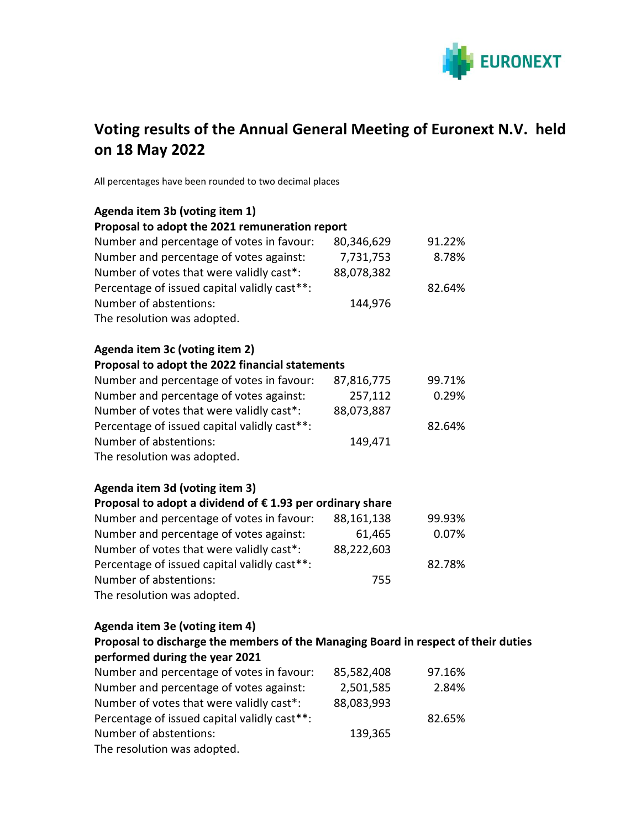

# **Voting results of the Annual General Meeting of Euronext N.V. held on 18 May 2022**

All percentages have been rounded to two decimal places

| Agenda item 3b (voting item 1)                                                     |            |        |  |
|------------------------------------------------------------------------------------|------------|--------|--|
| Proposal to adopt the 2021 remuneration report                                     |            |        |  |
| Number and percentage of votes in favour:                                          | 80,346,629 | 91.22% |  |
| Number and percentage of votes against:                                            | 7,731,753  | 8.78%  |  |
| Number of votes that were validly cast*:                                           | 88,078,382 |        |  |
| Percentage of issued capital validly cast**:                                       |            | 82.64% |  |
| Number of abstentions:                                                             | 144,976    |        |  |
| The resolution was adopted.                                                        |            |        |  |
| Agenda item 3c (voting item 2)                                                     |            |        |  |
| Proposal to adopt the 2022 financial statements                                    |            |        |  |
| Number and percentage of votes in favour:                                          | 87,816,775 | 99.71% |  |
| Number and percentage of votes against:                                            | 257,112    | 0.29%  |  |
| Number of votes that were validly cast*:                                           | 88,073,887 |        |  |
| Percentage of issued capital validly cast**:                                       |            | 82.64% |  |
| Number of abstentions:                                                             | 149,471    |        |  |
| The resolution was adopted.                                                        |            |        |  |
| Agenda item 3d (voting item 3)                                                     |            |        |  |
| Proposal to adopt a dividend of €1.93 per ordinary share                           |            |        |  |
| Number and percentage of votes in favour:                                          | 88,161,138 | 99.93% |  |
| Number and percentage of votes against:                                            | 61,465     | 0.07%  |  |
| Number of votes that were validly cast*:                                           | 88,222,603 |        |  |
| Percentage of issued capital validly cast**:                                       |            | 82.78% |  |
| Number of abstentions:                                                             | 755        |        |  |
| The resolution was adopted.                                                        |            |        |  |
| Agenda item 3e (voting item 4)                                                     |            |        |  |
| Proposal to discharge the members of the Managing Board in respect of their duties |            |        |  |
| performed during the year 2021                                                     |            |        |  |
| Number and percentage of votes in favour: 85,582,408                               |            | 97.16% |  |
| Number and percentage of votes against:                                            | 2,501,585  | 2.84%  |  |
| Number of votes that were validly cast*:                                           | 88,083,993 |        |  |
| Percentage of issued capital validly cast**:                                       |            | 82.65% |  |
| Number of abstentions:                                                             | 139,365    |        |  |
| The resolution was adopted.                                                        |            |        |  |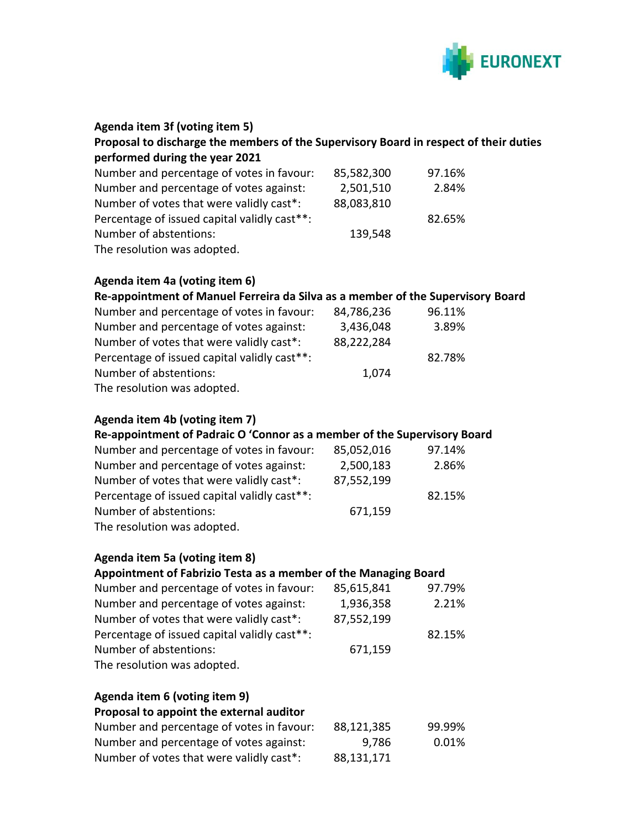

| 85,582,300                                       | 97.16%                                                                                                                                                                                                                                                                                          |
|--------------------------------------------------|-------------------------------------------------------------------------------------------------------------------------------------------------------------------------------------------------------------------------------------------------------------------------------------------------|
| 2,501,510                                        | 2.84%                                                                                                                                                                                                                                                                                           |
|                                                  |                                                                                                                                                                                                                                                                                                 |
|                                                  | 82.65%                                                                                                                                                                                                                                                                                          |
|                                                  |                                                                                                                                                                                                                                                                                                 |
|                                                  |                                                                                                                                                                                                                                                                                                 |
|                                                  |                                                                                                                                                                                                                                                                                                 |
|                                                  | 96.11%                                                                                                                                                                                                                                                                                          |
|                                                  | 3.89%                                                                                                                                                                                                                                                                                           |
|                                                  |                                                                                                                                                                                                                                                                                                 |
|                                                  | 82.78%                                                                                                                                                                                                                                                                                          |
|                                                  |                                                                                                                                                                                                                                                                                                 |
| 85,052,016<br>2,500,183<br>87,552,199<br>671,159 | Re-appointment of Padraic O 'Connor as a member of the Supervisory Board<br>97.14%<br>2.86%<br>82.15%                                                                                                                                                                                           |
|                                                  |                                                                                                                                                                                                                                                                                                 |
|                                                  |                                                                                                                                                                                                                                                                                                 |
|                                                  | 97.79%<br>2.21%                                                                                                                                                                                                                                                                                 |
|                                                  |                                                                                                                                                                                                                                                                                                 |
|                                                  |                                                                                                                                                                                                                                                                                                 |
|                                                  | 82.15%                                                                                                                                                                                                                                                                                          |
|                                                  |                                                                                                                                                                                                                                                                                                 |
| 88,121,385<br>9,786                              | 99.99%<br>0.01%                                                                                                                                                                                                                                                                                 |
|                                                  | 88,083,810<br>139,548<br>Re-appointment of Manuel Ferreira da Silva as a member of the Supervisory Board<br>84,786,236<br>3,436,048<br>88,222,284<br>1,074<br>Appointment of Fabrizio Testa as a member of the Managing Board<br>85,615,841<br>1,936,358<br>87,552,199<br>671,159<br>88,131,171 |